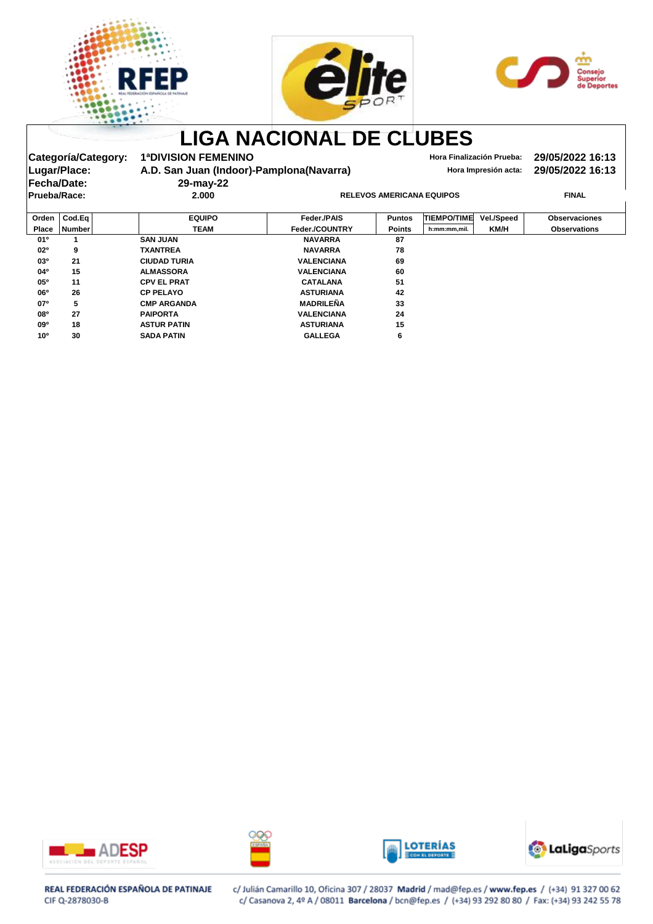





|                    |                     |                                          | <b>LIGA NACIONAL DE CLUBES</b>   |               |                      |                           |                      |
|--------------------|---------------------|------------------------------------------|----------------------------------|---------------|----------------------|---------------------------|----------------------|
|                    | Categoría/Category: | <b>1ªDIVISION FEMENINO</b>               |                                  |               |                      | Hora Finalización Prueba: | 29/05/2022 16:13     |
| Lugar/Place:       |                     | A.D. San Juan (Indoor)-Pamplona(Navarra) |                                  |               | Hora Impresión acta: | 29/05/2022 16:13          |                      |
| <b>Fecha/Date:</b> |                     | 29-may-22                                |                                  |               |                      |                           |                      |
| Prueba/Race:       |                     | 2.000                                    | <b>RELEVOS AMERICANA EQUIPOS</b> |               |                      |                           | <b>FINAL</b>         |
| Orden              | Cod.Eq              | <b>EQUIPO</b>                            | <b>Feder /PAIS</b>               | <b>Puntos</b> | <b>TIEMPO/TIME</b>   | <b>Vel./Speed</b>         | <b>Observaciones</b> |
| <b>Place</b>       | <b>Number</b>       | <b>TEAM</b>                              | Feder./COUNTRY                   | <b>Points</b> | h:mm:mm,mil.         | KM/H                      | <b>Observations</b>  |
| 01°                |                     | <b>SAN JUAN</b>                          | <b>NAVARRA</b>                   | 87            |                      |                           |                      |
| $02^{\circ}$       | 9                   | <b>TXANTREA</b>                          | <b>NAVARRA</b>                   | 78            |                      |                           |                      |
| 03 <sup>o</sup>    | 21                  | <b>CIUDAD TURIA</b>                      | <b>VALENCIANA</b>                | 69            |                      |                           |                      |
| 04°                | 15                  | <b>ALMASSORA</b>                         | <b>VALENCIANA</b>                | 60            |                      |                           |                      |
| 05 <sup>o</sup>    | 11                  | <b>CPV EL PRAT</b>                       | <b>CATALANA</b>                  | 51            |                      |                           |                      |
| 06 <sup>o</sup>    | 26                  | <b>CP PELAYO</b>                         | <b>ASTURIANA</b>                 | 42            |                      |                           |                      |
| 07 <sup>o</sup>    | 5                   | <b>CMP ARGANDA</b>                       | <b>MADRILEÑA</b>                 | 33            |                      |                           |                      |
| <b>08°</b>         | 27                  | <b>PAIPORTA</b>                          | <b>VALENCIANA</b>                | 24            |                      |                           |                      |
| 09 <sup>o</sup>    | 18                  | <b>ASTUR PATIN</b>                       | <b>ASTURIANA</b>                 | 15            |                      |                           |                      |
| 10 <sup>o</sup>    | 30                  | <b>SADA PATIN</b>                        | <b>GALLEGA</b>                   | 6             |                      |                           |                      |









### REAL FEDERACIÓN ESPAÑOLA DE PATINAJE CIF Q-2878030-B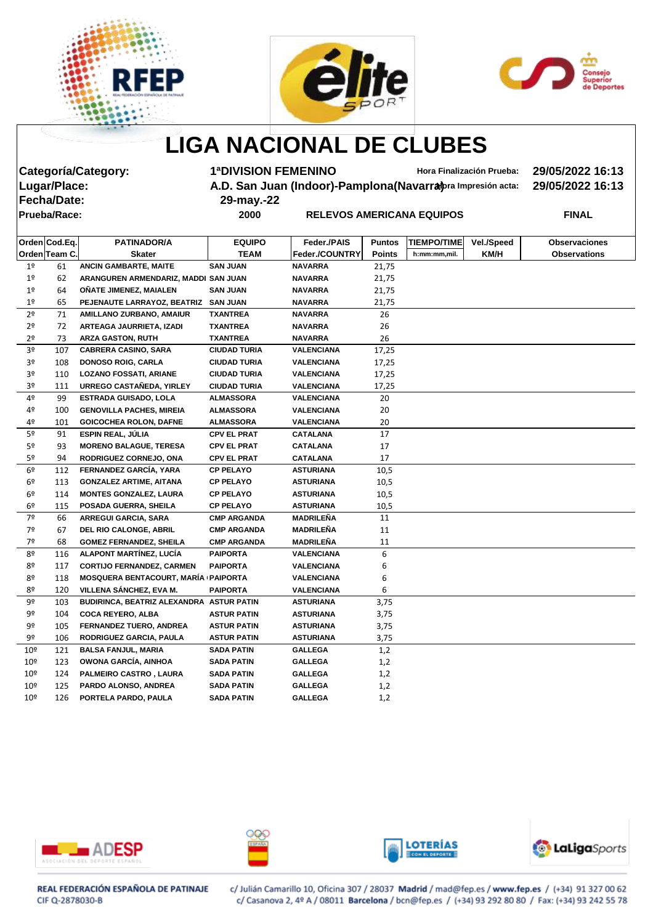





# **LIGA NACIONAL DE CLUBES**

**Fecha/Date: 29-may.-22**

**Categoría/Category: 1ªDIVISION FEMENINO Hora Finalización Prueba: 29/05/2022 16:13 A.D. San Juan (Indoor)-Pamplona(Navarra)** *praimersión acta:* **29/05/2022 16:13** 

**Prueba/Race: 2000 RELEVOS AMERICANA EQUIPOS FINAL**

|                 | Orden Cod.Eq. | <b>PATINADOR/A</b>                       | <b>EQUIPO</b>       | Feder./PAIS           | <b>Puntos</b> | <b>TIEMPO/TIME</b> | <b>Vel./Speed</b> | <b>Observaciones</b> |
|-----------------|---------------|------------------------------------------|---------------------|-----------------------|---------------|--------------------|-------------------|----------------------|
|                 | Orden Team C. | <b>Skater</b>                            | <b>TEAM</b>         | <b>Feder./COUNTRY</b> | <b>Points</b> | h:mm:mm,mil.       | KM/H              | <b>Observations</b>  |
| 1 <sup>o</sup>  | 61            | <b>ANCIN GAMBARTE, MAITE</b>             | <b>SAN JUAN</b>     | <b>NAVARRA</b>        | 21,75         |                    |                   |                      |
| 1 <sup>o</sup>  | 62            | ARANGUREN ARMENDARIZ, MADDI SAN JUAN     |                     | <b>NAVARRA</b>        | 21,75         |                    |                   |                      |
| 1 <sup>o</sup>  | 64            | ONATE JIMENEZ, MAIALEN                   | <b>SAN JUAN</b>     | <b>NAVARRA</b>        | 21,75         |                    |                   |                      |
| 1 <sup>°</sup>  | 65            | <b>PEJENAUTE LARRAYOZ, BEATRIZ</b>       | <b>SAN JUAN</b>     | <b>NAVARRA</b>        | 21,75         |                    |                   |                      |
| 2 <sup>o</sup>  | 71            | AMILLANO ZURBANO, AMAIUR                 | <b>TXANTREA</b>     | <b>NAVARRA</b>        | 26            |                    |                   |                      |
| 2 <sup>o</sup>  | 72            | ARTEAGA JAURRIETA, IZADI                 | <b>TXANTREA</b>     | <b>NAVARRA</b>        | 26            |                    |                   |                      |
| 2 <sup>o</sup>  | 73            | <b>ARZA GASTON, RUTH</b>                 | <b>TXANTREA</b>     | <b>NAVARRA</b>        | 26            |                    |                   |                      |
| 3 <sup>o</sup>  | 107           | <b>CABRERA CASINO, SARA</b>              | <b>CIUDAD TURIA</b> | <b>VALENCIANA</b>     | 17,25         |                    |                   |                      |
| 3 <sup>o</sup>  | 108           | <b>DONOSO ROIG, CARLA</b>                | <b>CIUDAD TURIA</b> | <b>VALENCIANA</b>     | 17,25         |                    |                   |                      |
| 3º              | 110           | <b>LOZANO FOSSATI, ARIANE</b>            | <b>CIUDAD TURIA</b> | <b>VALENCIANA</b>     | 17,25         |                    |                   |                      |
| 3º              | 111           | URREGO CASTAÑEDA, YIRLEY                 | <b>CIUDAD TURIA</b> | <b>VALENCIANA</b>     | 17,25         |                    |                   |                      |
| 4º              | -99           | <b>ESTRADA GUISADO, LOLA</b>             | <b>ALMASSORA</b>    | <b>VALENCIANA</b>     | 20            |                    |                   |                      |
| 4º              | 100           | <b>GENOVILLA PACHES, MIREIA</b>          | <b>ALMASSORA</b>    | <b>VALENCIANA</b>     | 20            |                    |                   |                      |
| 4º              | 101           | <b>GOICOCHEA ROLON, DAFNE</b>            | <b>ALMASSORA</b>    | <b>VALENCIANA</b>     | 20            |                    |                   |                      |
| 5 <sup>o</sup>  | 91            | <b>ESPIN REAL, JÚLIA</b>                 | <b>CPV EL PRAT</b>  | <b>CATALANA</b>       | 17            |                    |                   |                      |
| 5º              | 93            | <b>MORENO BALAGUE, TERESA</b>            | <b>CPV EL PRAT</b>  | <b>CATALANA</b>       | 17            |                    |                   |                      |
| 5º              | 94            | <b>RODRIGUEZ CORNEJO, ONA</b>            | <b>CPV EL PRAT</b>  | <b>CATALANA</b>       | 17            |                    |                   |                      |
| 6 <sup>9</sup>  | 112           | FERNANDEZ GARCÍA, YARA                   | <b>CP PELAYO</b>    | <b>ASTURIANA</b>      | 10,5          |                    |                   |                      |
| 6º              | 113           | <b>GONZALEZ ARTIME, AITANA</b>           | <b>CP PELAYO</b>    | <b>ASTURIANA</b>      | 10,5          |                    |                   |                      |
| 6º              | 114           | <b>MONTES GONZALEZ, LAURA</b>            | <b>CP PELAYO</b>    | <b>ASTURIANA</b>      | 10,5          |                    |                   |                      |
| 6º              | 115           | POSADA GUERRA, SHEILA                    | <b>CP PELAYO</b>    | <b>ASTURIANA</b>      | 10,5          |                    |                   |                      |
| 7º              | 66            | <b>ARREGUI GARCIA, SARA</b>              | <b>CMP ARGANDA</b>  | <b>MADRILEÑA</b>      | 11            |                    |                   |                      |
| 7º              | 67            | DEL RIO CALONGE, ABRIL                   | <b>CMP ARGANDA</b>  | <b>MADRILEÑA</b>      | 11            |                    |                   |                      |
| 7º              | 68            | <b>GOMEZ FERNANDEZ, SHEILA</b>           | <b>CMP ARGANDA</b>  | <b>MADRILEÑA</b>      | 11            |                    |                   |                      |
| 8º              | 116           | <b>ALAPONT MARTÍNEZ, LUCÍA</b>           | <b>PAIPORTA</b>     | <b>VALENCIANA</b>     | 6             |                    |                   |                      |
| 8º              | 117           | <b>CORTIJO FERNANDEZ, CARMEN</b>         | <b>PAIPORTA</b>     | <b>VALENCIANA</b>     | 6             |                    |                   |                      |
| 8º              | 118           | MOSQUERA BENTACOURT, MARÍA (PAIPORTA     |                     | <b>VALENCIANA</b>     | 6             |                    |                   |                      |
| 8º              | 120           | VILLENA SÁNCHEZ, EVA M.                  | <b>PAIPORTA</b>     | <b>VALENCIANA</b>     | 6             |                    |                   |                      |
| 9º              | 103           | BUDIRINCA, BEATRIZ ALEXANDRA ASTUR PATIN |                     | <b>ASTURIANA</b>      | 3,75          |                    |                   |                      |
| 9º              | 104           | <b>COCA REYERO, ALBA</b>                 | <b>ASTUR PATIN</b>  | <b>ASTURIANA</b>      | 3,75          |                    |                   |                      |
| 9º              | 105           | FERNANDEZ TUERO, ANDREA                  | <b>ASTUR PATIN</b>  | <b>ASTURIANA</b>      | 3,75          |                    |                   |                      |
| 9º              | 106           | <b>RODRIGUEZ GARCIA, PAULA</b>           | <b>ASTUR PATIN</b>  | <b>ASTURIANA</b>      | 3,75          |                    |                   |                      |
| 10 <sup>°</sup> | 121           | <b>BALSA FANJUL, MARIA</b>               | <b>SADA PATIN</b>   | <b>GALLEGA</b>        | 1,2           |                    |                   |                      |
| 10 <sup>°</sup> | 123           | OWONA GARCÍA, AINHOA                     | <b>SADA PATIN</b>   | <b>GALLEGA</b>        | 1,2           |                    |                   |                      |
| 10 <sup>°</sup> | 124           | PALMEIRO CASTRO, LAURA                   | <b>SADA PATIN</b>   | <b>GALLEGA</b>        | 1,2           |                    |                   |                      |
| 10 <sup>°</sup> | 125           | PARDO ALONSO, ANDREA                     | <b>SADA PATIN</b>   | <b>GALLEGA</b>        | 1,2           |                    |                   |                      |
| 10 <sup>°</sup> | 126           | PORTELA PARDO, PAULA                     | <b>SADA PATIN</b>   | <b>GALLEGA</b>        | 1,2           |                    |                   |                      |
|                 |               |                                          |                     |                       |               |                    |                   |                      |









REAL FEDERACIÓN ESPAÑOLA DE PATINAJE CIF Q-2878030-B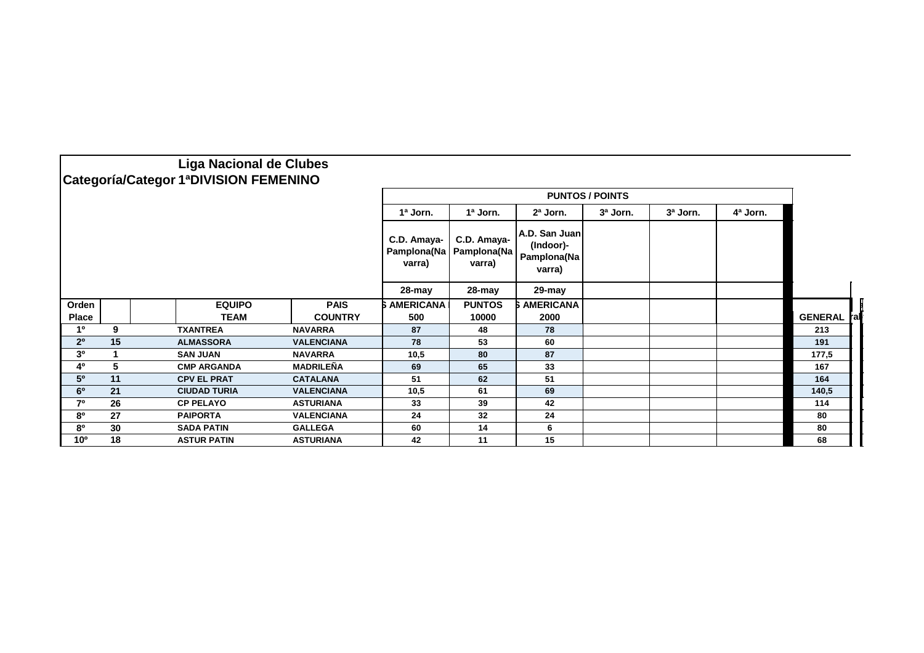|                 |    | <b>Liga Nacional de Clubes</b>        |                   |                                      |                                                          |                                                     |                        |  |  |                      |  |
|-----------------|----|---------------------------------------|-------------------|--------------------------------------|----------------------------------------------------------|-----------------------------------------------------|------------------------|--|--|----------------------|--|
|                 |    | Categoría/Categor 1ªDIVISION FEMENINO |                   |                                      |                                                          |                                                     | <b>PUNTOS / POINTS</b> |  |  |                      |  |
|                 |    |                                       |                   | 1ª Jorn.                             | 3ª Jorn.<br>1ª Jorn.<br>2ª Jorn.<br>3ª Jorn.<br>4ª Jorn. |                                                     |                        |  |  |                      |  |
|                 |    |                                       |                   | C.D. Amaya-<br>Pamplona(Na<br>varra) | C.D. Amaya-<br>Pamplona(Na<br>varra)                     | A.D. San Juan<br>(Indoor)-<br>Pamplona(Na<br>varra) |                        |  |  |                      |  |
|                 |    |                                       |                   | 28-may                               | 28-may                                                   | 29-may                                              |                        |  |  |                      |  |
| Orden           |    | <b>EQUIPO</b>                         | <b>PAIS</b>       | <b>S AMERICANA</b>                   | <b>PUNTOS</b>                                            | <b>SAMERICANA</b>                                   |                        |  |  |                      |  |
| <b>Place</b>    |    | <b>TEAM</b>                           | <b>COUNTRY</b>    | 500                                  | 10000                                                    | 2000                                                |                        |  |  | <b>GENERAL</b><br>ra |  |
| 1º              | 9  | <b>TXANTREA</b>                       | <b>NAVARRA</b>    | 87                                   | 48                                                       | 78                                                  |                        |  |  | 213                  |  |
| 2 <sup>0</sup>  | 15 | <b>ALMASSORA</b>                      | <b>VALENCIANA</b> | 78                                   | 53                                                       | 60                                                  |                        |  |  | 191                  |  |
| 3 <sup>0</sup>  |    | <b>SAN JUAN</b>                       | <b>NAVARRA</b>    | 10,5                                 | 80                                                       | 87                                                  |                        |  |  | 177,5                |  |
| 4º              | 5  | <b>CMP ARGANDA</b>                    | <b>MADRILEÑA</b>  | 69                                   | 65                                                       | 33                                                  |                        |  |  | 167                  |  |
| 5 <sup>0</sup>  | 11 | <b>CPV EL PRAT</b>                    | <b>CATALANA</b>   | 51                                   | 62                                                       | 51                                                  |                        |  |  | 164                  |  |
| 6 <sup>o</sup>  | 21 | <b>CIUDAD TURIA</b>                   | <b>VALENCIANA</b> | 10,5                                 | 61                                                       | 69                                                  |                        |  |  | 140,5                |  |
| 70              | 26 | <b>CP PELAYO</b>                      | <b>ASTURIANA</b>  | 33                                   | 39                                                       | 42                                                  |                        |  |  | 114                  |  |
| 80              | 27 | <b>PAIPORTA</b>                       | <b>VALENCIANA</b> | 24                                   | 32                                                       | 24                                                  |                        |  |  | 80                   |  |
| 80              | 30 | <b>SADA PATIN</b>                     | <b>GALLEGA</b>    | 60                                   | 14                                                       | 6                                                   |                        |  |  | 80                   |  |
| 10 <sup>o</sup> | 18 | <b>ASTUR PATIN</b>                    | <b>ASTURIANA</b>  | 42                                   | 11                                                       | 15                                                  |                        |  |  | 68                   |  |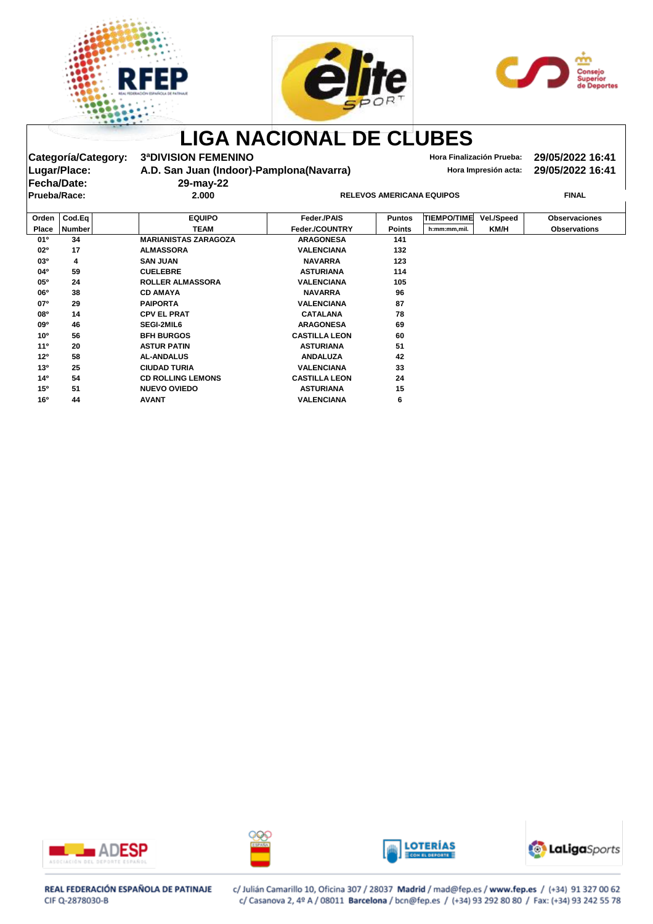





|                     |                     |                                           | <b>LIGA NACIONAL DE CLUBES</b>   |               |                           |                      |                      |
|---------------------|---------------------|-------------------------------------------|----------------------------------|---------------|---------------------------|----------------------|----------------------|
|                     | Categoría/Category: | <b>3ªDIVISION FEMENINO</b>                |                                  |               | Hora Finalización Prueba: |                      | 29/05/2022 16:41     |
| Lugar/Place:        |                     | A.D. San Juan (Indoor)-Pamplona (Navarra) |                                  |               |                           | Hora Impresión acta: | 29/05/2022 16:41     |
| Fecha/Date:         |                     | 29-may-22                                 |                                  |               |                           |                      |                      |
| <b>Prueba/Race:</b> |                     | 2.000                                     | <b>RELEVOS AMERICANA EQUIPOS</b> |               |                           |                      | <b>FINAL</b>         |
| Orden               | Cod.Eq              | <b>EQUIPO</b>                             | Feder./PAIS                      | <b>Puntos</b> | <b>TIEMPO/TIME</b>        | Vel./Speed           | <b>Observaciones</b> |
| <b>Place</b>        | Number              | <b>TEAM</b>                               | Feder./COUNTRY                   | <b>Points</b> | h:mm:mm,mil.              | <b>KM/H</b>          | <b>Observations</b>  |
| 01º                 | 34                  | <b>MARIANISTAS ZARAGOZA</b>               | <b>ARAGONESA</b>                 | 141           |                           |                      |                      |
| 02°                 | 17                  | <b>ALMASSORA</b>                          | <b>VALENCIANA</b>                | 132           |                           |                      |                      |
| 03 <sup>o</sup>     | 4                   | <b>SAN JUAN</b>                           | <b>NAVARRA</b>                   | 123           |                           |                      |                      |
| $04^{\circ}$        | 59                  | <b>CUELEBRE</b>                           | <b>ASTURIANA</b>                 | 114           |                           |                      |                      |
| 05°                 | 24                  | <b>ROLLER ALMASSORA</b>                   | <b>VALENCIANA</b>                | 105           |                           |                      |                      |
| 06 <sup>o</sup>     | 38                  | <b>CD AMAYA</b>                           | <b>NAVARRA</b>                   | 96            |                           |                      |                      |
| 07°                 | 29                  | <b>PAIPORTA</b>                           | <b>VALENCIANA</b>                | 87            |                           |                      |                      |
| <b>08°</b>          | 14                  | <b>CPV EL PRAT</b>                        | <b>CATALANA</b>                  | 78            |                           |                      |                      |
| 09 <sup>o</sup>     | 46                  | <b>SEGI-2MIL6</b>                         | <b>ARAGONESA</b>                 | 69            |                           |                      |                      |
| 10 <sup>o</sup>     | 56                  | <b>BFH BURGOS</b>                         | <b>CASTILLA LEON</b>             | 60            |                           |                      |                      |
| 11 <sup>°</sup>     | 20                  | <b>ASTUR PATIN</b>                        | <b>ASTURIANA</b>                 | 51            |                           |                      |                      |
| 12 <sup>o</sup>     | 58                  | <b>AL-ANDALUS</b>                         | <b>ANDALUZA</b>                  | 42            |                           |                      |                      |
| 13 <sup>o</sup>     | 25                  | <b>CIUDAD TURIA</b>                       | <b>VALENCIANA</b>                | 33            |                           |                      |                      |
| 14 <sup>0</sup>     | 54                  | <b>CD ROLLING LEMONS</b>                  | <b>CASTILLA LEON</b>             | 24            |                           |                      |                      |
| 15 <sup>o</sup>     | 51                  | <b>NUEVO OVIEDO</b>                       | <b>ASTURIANA</b>                 | 15            |                           |                      |                      |
| 16 <sup>o</sup>     | 44                  | <b>AVANT</b>                              | <b>VALENCIANA</b>                | 6             |                           |                      |                      |









### REAL FEDERACIÓN ESPAÑOLA DE PATINAJE CIF Q-2878030-B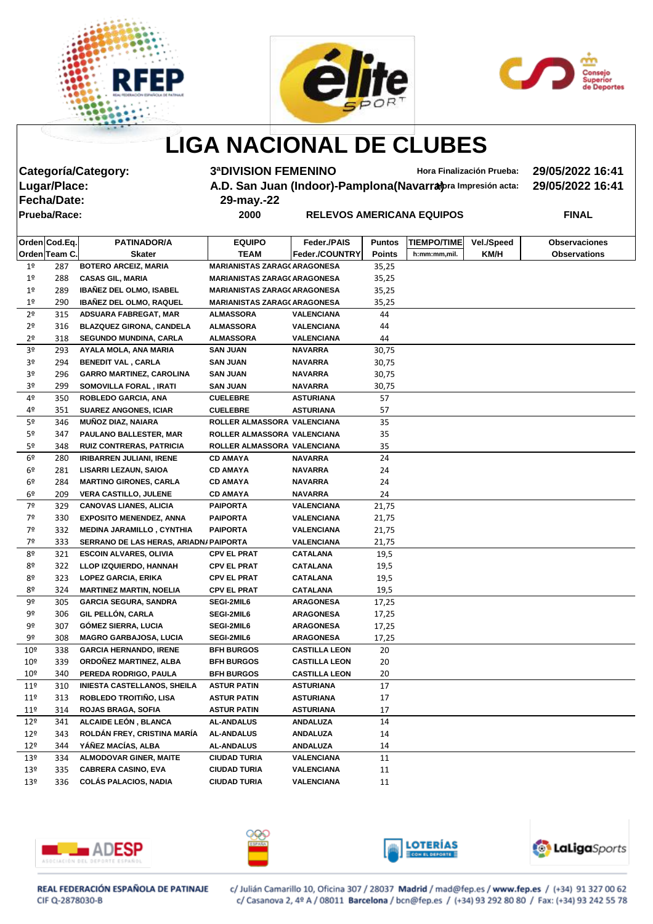





# **LIGA NACIONAL DE CLUBES**

**Fecha/Date: 29-may.-22**

**Categoría/Category: 3ªDIVISION FEMENINO Hora Finalización Prueba: 29/05/2022 16:41 A.D. San Juan (Indoor)-Pamplona(Navarra)** *praimersión acta:* **29/05/2022 16:41** 

**Prueba/Race: 2000 RELEVOS AMERICANA EQUIPOS FINAL**

|                 | Orden Cod.Eq. | <b>PATINADOR/A</b>                     | <b>EQUIPO</b>                       | Feder./PAIS           | <b>Puntos</b> | <b>TIEMPO/TIME</b> | Vel./Speed | <b>Observaciones</b> |
|-----------------|---------------|----------------------------------------|-------------------------------------|-----------------------|---------------|--------------------|------------|----------------------|
|                 | Orden Team C. | <b>Skater</b>                          | TEAM                                | <b>Feder./COUNTRY</b> | <b>Points</b> | h:mm:mm,mil.       | KM/H       | <b>Observations</b>  |
| 1 <sup>°</sup>  | 287           | <b>BOTERO ARCEIZ, MARIA</b>            | <b>MARIANISTAS ZARAG( ARAGONESA</b> |                       | 35,25         |                    |            |                      |
| 1 <sup>o</sup>  | 288           | <b>CASAS GIL, MARIA</b>                | <b>MARIANISTAS ZARAG(ARAGONESA</b>  |                       | 35,25         |                    |            |                      |
| 1 <sup>o</sup>  | 289           | <b>IBAÑEZ DEL OLMO, ISABEL</b>         | <b>MARIANISTAS ZARAG(ARAGONESA</b>  |                       | 35,25         |                    |            |                      |
| 1 <sup>o</sup>  | 290           | <b>IBAÑEZ DEL OLMO, RAQUEL</b>         | <b>MARIANISTAS ZARAG( ARAGONESA</b> |                       | 35,25         |                    |            |                      |
| 2 <sup>o</sup>  | 315           | <b>ADSUARA FABREGAT, MAR</b>           | <b>ALMASSORA</b>                    | <b>VALENCIANA</b>     | 44            |                    |            |                      |
| 2 <sup>o</sup>  | 316           | <b>BLAZQUEZ GIRONA, CANDELA</b>        | <b>ALMASSORA</b>                    | <b>VALENCIANA</b>     | 44            |                    |            |                      |
| 2 <sup>o</sup>  | 318           | <b>SEGUNDO MUNDINA, CARLA</b>          | <b>ALMASSORA</b>                    | <b>VALENCIANA</b>     | 44            |                    |            |                      |
| 3º              | 293           | AYALA MOLA, ANA MARIA                  | <b>SAN JUAN</b>                     | <b>NAVARRA</b>        | 30,75         |                    |            |                      |
| 3º              | 294           | <b>BENEDIT VAL, CARLA</b>              | <b>SAN JUAN</b>                     | <b>NAVARRA</b>        | 30,75         |                    |            |                      |
| 3º              | 296           | <b>GARRO MARTINEZ, CAROLINA</b>        | <b>SAN JUAN</b>                     | <b>NAVARRA</b>        | 30,75         |                    |            |                      |
| 3º              | 299           | SOMOVILLA FORAL, IRATI                 | <b>SAN JUAN</b>                     | <b>NAVARRA</b>        | 30,75         |                    |            |                      |
| 4º              | 350           | ROBLEDO GARCIA, ANA                    | <b>CUELEBRE</b>                     | <b>ASTURIANA</b>      | 57            |                    |            |                      |
| 4º              | 351           | <b>SUAREZ ANGONES, ICIAR</b>           | <b>CUELEBRE</b>                     | <b>ASTURIANA</b>      | 57            |                    |            |                      |
| 5º              | 346           | <b>MUÑOZ DIAZ, NAIARA</b>              | ROLLER ALMASSORA VALENCIANA         |                       | 35            |                    |            |                      |
| 5º              | 347           | <b>PAULANO BALLESTER, MAR</b>          | ROLLER ALMASSORA VALENCIANA         |                       | 35            |                    |            |                      |
| 5º              | 348           | <b>RUIZ CONTRERAS, PATRICIA</b>        | ROLLER ALMASSORA VALENCIANA         |                       | 35            |                    |            |                      |
| 6º              | 280           | <b>IRIBARREN JULIANI, IRENE</b>        | <b>CD AMAYA</b>                     | <b>NAVARRA</b>        | 24            |                    |            |                      |
| 6º              | 281           | <b>LISARRI LEZAUN, SAIOA</b>           | <b>CD AMAYA</b>                     | <b>NAVARRA</b>        | 24            |                    |            |                      |
| 6º              | 284           | <b>MARTINO GIRONES, CARLA</b>          | <b>CD AMAYA</b>                     | <b>NAVARRA</b>        | 24            |                    |            |                      |
| 6º              | 209           | <b>VERA CASTILLO, JULENE</b>           | <b>CD AMAYA</b>                     | <b>NAVARRA</b>        | 24            |                    |            |                      |
| 7º              | 329           | <b>CANOVAS LIANES, ALICIA</b>          | <b>PAIPORTA</b>                     | <b>VALENCIANA</b>     | 21,75         |                    |            |                      |
| 7º              | 330           | <b>EXPOSITO MENENDEZ, ANNA</b>         | <b>PAIPORTA</b>                     | <b>VALENCIANA</b>     | 21,75         |                    |            |                      |
| 7º              | 332           | <b>MEDINA JARAMILLO, CYNTHIA</b>       | <b>PAIPORTA</b>                     | <b>VALENCIANA</b>     | 21,75         |                    |            |                      |
| 7º              | 333           | SERRANO DE LAS HERAS, ARIADN/ PAIPORTA |                                     | <b>VALENCIANA</b>     | 21,75         |                    |            |                      |
| 8º              | 321           | <b>ESCOIN ALVARES, OLIVIA</b>          | <b>CPV EL PRAT</b>                  | <b>CATALANA</b>       | 19,5          |                    |            |                      |
| 8º              | 322           | LLOP IZQUIERDO, HANNAH                 | <b>CPV EL PRAT</b>                  | <b>CATALANA</b>       | 19,5          |                    |            |                      |
| 8º              | 323           | <b>LOPEZ GARCIA, ERIKA</b>             | <b>CPV EL PRAT</b>                  | <b>CATALANA</b>       | 19,5          |                    |            |                      |
| 8º              | 324           | <b>MARTINEZ MARTIN, NOELIA</b>         | <b>CPV EL PRAT</b>                  | <b>CATALANA</b>       | 19,5          |                    |            |                      |
| 9º              | 305           | <b>GARCIA SEGURA, SANDRA</b>           | <b>SEGI-2MIL6</b>                   | <b>ARAGONESA</b>      | 17,25         |                    |            |                      |
| 9º              | 306           | <b>GIL PELLÓN, CARLA</b>               | <b>SEGI-2MIL6</b>                   | <b>ARAGONESA</b>      | 17,25         |                    |            |                      |
| 9º              | 307           | <b>GÓMEZ SIERRA, LUCIA</b>             | <b>SEGI-2MIL6</b>                   | <b>ARAGONESA</b>      | 17,25         |                    |            |                      |
| 9º              | 308           | <b>MAGRO GARBAJOSA, LUCIA</b>          | SEGI-2MIL6                          | <b>ARAGONESA</b>      | 17,25         |                    |            |                      |
| $10^{\circ}$    | 338           | <b>GARCIA HERNANDO, IRENE</b>          | <b>BFH BURGOS</b>                   | <b>CASTILLA LEON</b>  | 20            |                    |            |                      |
| 10 <sup>°</sup> | 339           | ORDOÑEZ MARTINEZ, ALBA                 | <b>BFH BURGOS</b>                   | <b>CASTILLA LEON</b>  | 20            |                    |            |                      |
| 10 <sup>°</sup> | 340           | PEREDA RODRIGO, PAULA                  | <b>BFH BURGOS</b>                   | <b>CASTILLA LEON</b>  | 20            |                    |            |                      |
| 11 <sup>°</sup> | 310           | <b>INIESTA CASTELLANOS, SHEILA</b>     | <b>ASTUR PATIN</b>                  | <b>ASTURIANA</b>      | 17            |                    |            |                      |
| 11 <sup>°</sup> | 313           | ROBLEDO TROITIÑO, LISA                 | <b>ASTUR PATIN</b>                  | <b>ASTURIANA</b>      | 17            |                    |            |                      |
| 11 <sup>°</sup> | 314           | <b>ROJAS BRAGA, SOFIA</b>              | <b>ASTUR PATIN</b>                  | <b>ASTURIANA</b>      | 17            |                    |            |                      |
| 12 <sup>°</sup> | 341           | ALCAIDE LEÓN, BLANCA                   | <b>AL-ANDALUS</b>                   | <b>ANDALUZA</b>       | 14            |                    |            |                      |
| 12 <sup>°</sup> | 343           | ROLDÁN FREY, CRISTINA MARÍA            | <b>AL-ANDALUS</b>                   | <b>ANDALUZA</b>       | 14            |                    |            |                      |
| 12 <sup>°</sup> | 344           | YÁÑEZ MACÍAS, ALBA                     | <b>AL-ANDALUS</b>                   | <b>ANDALUZA</b>       | 14            |                    |            |                      |
| 13 <sup>°</sup> | 334           | <b>ALMODOVAR GINER, MAITE</b>          | <b>CIUDAD TURIA</b>                 | <b>VALENCIANA</b>     | 11            |                    |            |                      |
| 13º             | 335           | <b>CABRERA CASINO, EVA</b>             | <b>CIUDAD TURIA</b>                 | <b>VALENCIANA</b>     | 11            |                    |            |                      |
| 13º             | 336           | <b>COLÁS PALACIOS, NADIA</b>           | <b>CIUDAD TURIA</b>                 | <b>VALENCIANA</b>     | 11            |                    |            |                      |
|                 |               |                                        |                                     |                       |               |                    |            |                      |









REAL FEDERACIÓN ESPAÑOLA DE PATINAJE CIF Q-2878030-B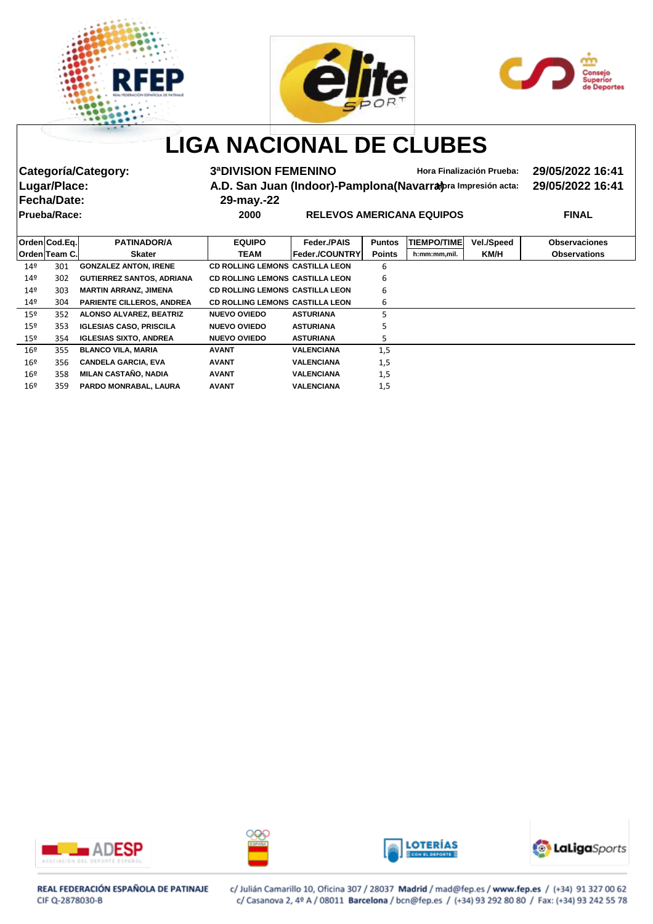





# **LIGA NACIONAL DE CLUBES**

**Fecha/Date: 29-may.-22**

**Categoría/Category: 3ªDIVISION FEMENINO Hora Finalización Prueba: 29/05/2022 16:41** Lugar/Place: **A.D. San Juan (Indoor)-Pamplona(Navarra**)**pra Impresión acta:** 29/05/2022 16:41

**Prueba/Race: 2000 RELEVOS AMERICANA EQUIPOS FINAL**

|                 | Orden Cod.Eq. | <b>PATINADOR/A</b>               | <b>EQUIPO</b>                          | Feder / PAIS          | <b>Puntos</b> | <b>TIEMPO/TIME</b> | <b>Vel./Speed</b> | <b>Observaciones</b> |
|-----------------|---------------|----------------------------------|----------------------------------------|-----------------------|---------------|--------------------|-------------------|----------------------|
|                 | OrdenlTeam C. | <b>Skater</b>                    | TEAM                                   | <b>Feder./COUNTRY</b> | <b>Points</b> | h:mm:mm,mil.       | KM/H              | <b>Observations</b>  |
| 14º             | 301           | <b>GONZALEZ ANTON, IRENE</b>     | <b>CD ROLLING LEMONS CASTILLA LEON</b> |                       | 6             |                    |                   |                      |
| 14º             | 302           | <b>GUTIERREZ SANTOS, ADRIANA</b> | <b>CD ROLLING LEMONS CASTILLA LEON</b> |                       | 6             |                    |                   |                      |
| 149             | 303           | <b>MARTIN ARRANZ, JIMENA</b>     | <b>CD ROLLING LEMONS CASTILLA LEON</b> |                       | 6             |                    |                   |                      |
| 14 <sup>9</sup> | 304           | <b>PARIENTE CILLEROS, ANDREA</b> | <b>CD ROLLING LEMONS CASTILLA LEON</b> |                       | 6             |                    |                   |                      |
| 15 <sup>°</sup> | 352           | <b>ALONSO ALVAREZ, BEATRIZ</b>   | <b>NUEVO OVIEDO</b>                    | <b>ASTURIANA</b>      | 5             |                    |                   |                      |
| 15 <sup>°</sup> | 353           | <b>IGLESIAS CASO, PRISCILA</b>   | <b>NUEVO OVIEDO</b>                    | <b>ASTURIANA</b>      | 5             |                    |                   |                      |
| 15 <sup>°</sup> | 354           | <b>IGLESIAS SIXTO, ANDREA</b>    | <b>NUEVO OVIEDO</b>                    | <b>ASTURIANA</b>      | 5             |                    |                   |                      |
| 16 <sup>9</sup> | 355           | <b>BLANCO VILA, MARIA</b>        | <b>AVANT</b>                           | <b>VALENCIANA</b>     | 1,5           |                    |                   |                      |
| 16 <sup>°</sup> | 356           | <b>CANDELA GARCIA, EVA</b>       | <b>AVANT</b>                           | <b>VALENCIANA</b>     | 1,5           |                    |                   |                      |
| 16 <sup>9</sup> | 358           | MILAN CASTAÑO, NADIA             | <b>AVANT</b>                           | <b>VALENCIANA</b>     | 1,5           |                    |                   |                      |
| 16 <sup>°</sup> | 359           | PARDO MONRABAL, LAURA            | <b>AVANT</b>                           | <b>VALENCIANA</b>     | 1,5           |                    |                   |                      |
|                 |               |                                  |                                        |                       |               |                    |                   |                      |









REAL FEDERACIÓN ESPAÑOLA DE PATINAJE CIF Q-2878030-B